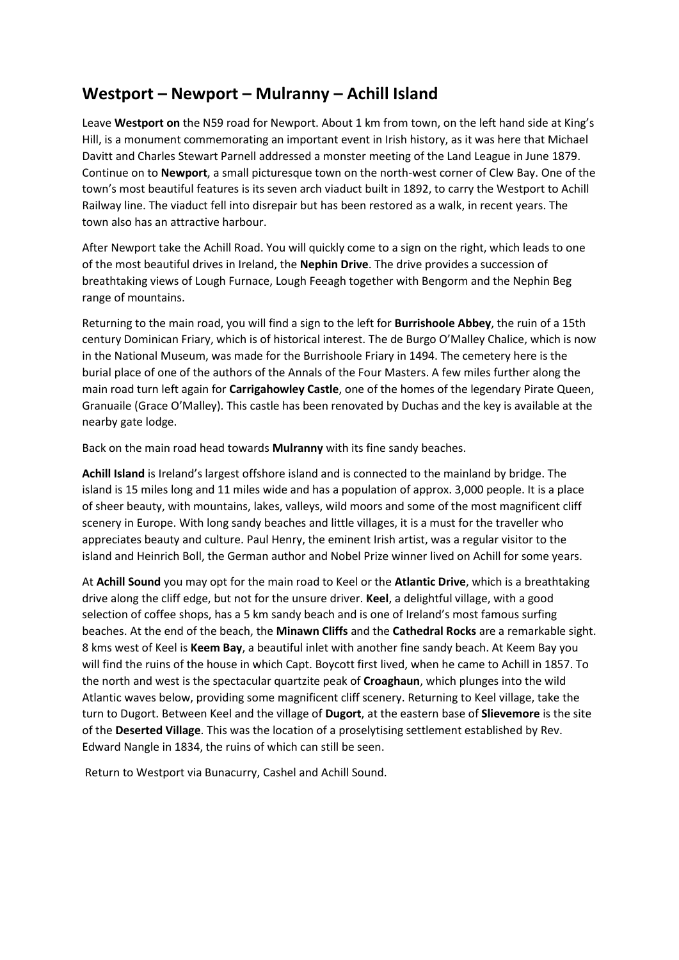## **Westport – Newport – Mulranny – Achill Island**

Leave **Westport on** the N59 road for Newport. About 1 km from town, on the left hand side at King's Hill, is a monument commemorating an important event in Irish history, as it was here that Michael Davitt and Charles Stewart Parnell addressed a monster meeting of the Land League in June 1879. Continue on to **Newport**, a small picturesque town on the north-west corner of Clew Bay. One of the town's most beautiful features is its seven arch viaduct built in 1892, to carry the Westport to Achill Railway line. The viaduct fell into disrepair but has been restored as a walk, in recent years. The town also has an attractive harbour.

After Newport take the Achill Road. You will quickly come to a sign on the right, which leads to one of the most beautiful drives in Ireland, the **Nephin Drive**. The drive provides a succession of breathtaking views of Lough Furnace, Lough Feeagh together with Bengorm and the Nephin Beg range of mountains.

Returning to the main road, you will find a sign to the left for **Burrishoole Abbey**, the ruin of a 15th century Dominican Friary, which is of historical interest. The de Burgo O'Malley Chalice, which is now in the National Museum, was made for the Burrishoole Friary in 1494. The cemetery here is the burial place of one of the authors of the Annals of the Four Masters. A few miles further along the main road turn left again for **Carrigahowley Castle**, one of the homes of the legendary Pirate Queen, Granuaile (Grace O'Malley). This castle has been renovated by Duchas and the key is available at the nearby gate lodge.

Back on the main road head towards **Mulranny** with its fine sandy beaches.

**Achill Island** is Ireland's largest offshore island and is connected to the mainland by bridge. The island is 15 miles long and 11 miles wide and has a population of approx. 3,000 people. It is a place of sheer beauty, with mountains, lakes, valleys, wild moors and some of the most magnificent cliff scenery in Europe. With long sandy beaches and little villages, it is a must for the traveller who appreciates beauty and culture. Paul Henry, the eminent Irish artist, was a regular visitor to the island and Heinrich Boll, the German author and Nobel Prize winner lived on Achill for some years.

At **Achill Sound** you may opt for the main road to Keel or the **Atlantic Drive**, which is a breathtaking drive along the cliff edge, but not for the unsure driver. **Keel**, a delightful village, with a good selection of coffee shops, has a 5 km sandy beach and is one of Ireland's most famous surfing beaches. At the end of the beach, the **Minawn Cliffs** and the **Cathedral Rocks** are a remarkable sight. 8 kms west of Keel is **Keem Bay**, a beautiful inlet with another fine sandy beach. At Keem Bay you will find the ruins of the house in which Capt. Boycott first lived, when he came to Achill in 1857. To the north and west is the spectacular quartzite peak of **Croaghaun**, which plunges into the wild Atlantic waves below, providing some magnificent cliff scenery. Returning to Keel village, take the turn to Dugort. Between Keel and the village of **Dugort**, at the eastern base of **Slievemore** is the site of the **Deserted Village**. This was the location of a proselytising settlement established by Rev. Edward Nangle in 1834, the ruins of which can still be seen.

Return to Westport via Bunacurry, Cashel and Achill Sound.